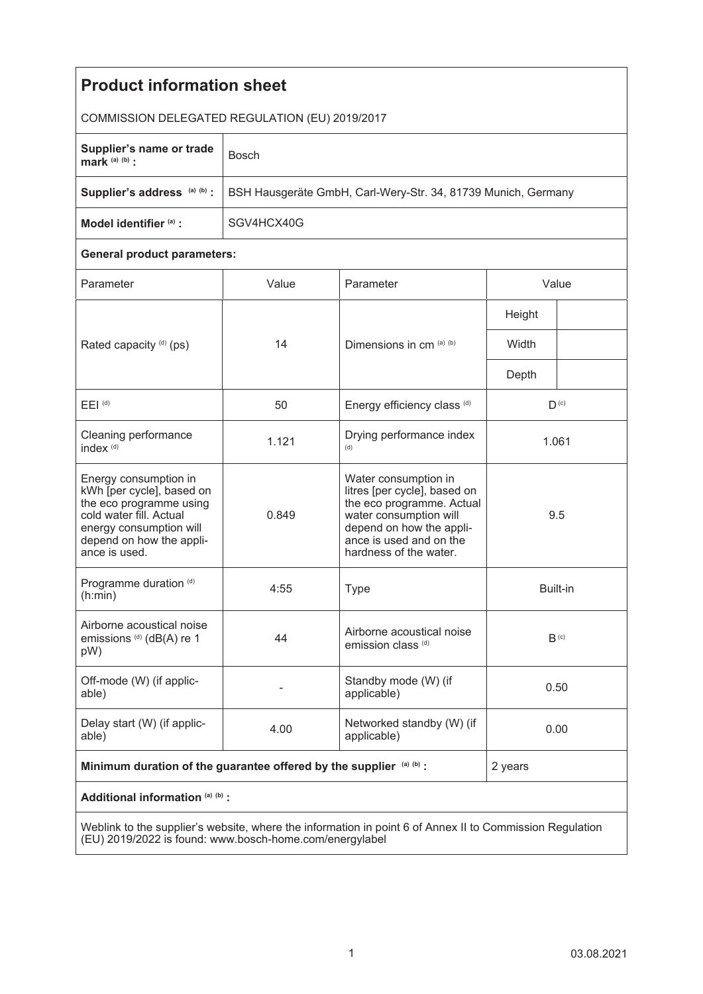| <b>Product information sheet</b>                                                                                                                                                 |                                                               |                                                                                                                                                                                              |                  |  |
|----------------------------------------------------------------------------------------------------------------------------------------------------------------------------------|---------------------------------------------------------------|----------------------------------------------------------------------------------------------------------------------------------------------------------------------------------------------|------------------|--|
| COMMISSION DELEGATED REGULATION (EU) 2019/2017                                                                                                                                   |                                                               |                                                                                                                                                                                              |                  |  |
| Supplier's name or trade<br>mark $(a)$ $(b)$ :                                                                                                                                   | <b>Bosch</b>                                                  |                                                                                                                                                                                              |                  |  |
| Supplier's address (a) (b) :                                                                                                                                                     | BSH Hausgeräte GmbH, Carl-Wery-Str. 34, 81739 Munich, Germany |                                                                                                                                                                                              |                  |  |
| Model identifier (a) :                                                                                                                                                           | SGV4HCX40G                                                    |                                                                                                                                                                                              |                  |  |
| <b>General product parameters:</b>                                                                                                                                               |                                                               |                                                                                                                                                                                              |                  |  |
| Parameter                                                                                                                                                                        | Value                                                         | Parameter                                                                                                                                                                                    | Value            |  |
| Rated capacity (d) (ps)                                                                                                                                                          | 14                                                            | Dimensions in cm (a) (b)                                                                                                                                                                     | Height           |  |
|                                                                                                                                                                                  |                                                               |                                                                                                                                                                                              | Width            |  |
|                                                                                                                                                                                  |                                                               |                                                                                                                                                                                              | Depth            |  |
| $E EI$ <sup>(d)</sup>                                                                                                                                                            | 50                                                            | Energy efficiency class (d)                                                                                                                                                                  | $D^{(c)}$        |  |
| Cleaning performance<br>index <sup>(d)</sup>                                                                                                                                     | 1.121                                                         | Drying performance index<br>(d)                                                                                                                                                              | 1.061            |  |
| Energy consumption in<br>kWh [per cycle], based on<br>the eco programme using<br>cold water fill. Actual<br>energy consumption will<br>depend on how the appli-<br>ance is used. | 0.849                                                         | Water consumption in<br>litres [per cycle], based on<br>the eco programme. Actual<br>water consumption will<br>depend on how the appli-<br>ance is used and on the<br>hardness of the water. | 9.5              |  |
| Programme duration (d)<br>(h:min)                                                                                                                                                | 4:55                                                          | <b>Type</b>                                                                                                                                                                                  | Built-in         |  |
| Airborne acoustical noise<br>emissions (d) (dB(A) re 1<br>pW)                                                                                                                    | 44                                                            | Airborne acoustical noise<br>emission class <sup>(d)</sup>                                                                                                                                   | B <sub>(c)</sub> |  |
| Off-mode (W) (if applic-<br>able)                                                                                                                                                |                                                               | Standby mode (W) (if<br>applicable)                                                                                                                                                          | 0.50             |  |
| Delay start (W) (if applic-<br>able)                                                                                                                                             | 4.00                                                          | Networked standby (W) (if<br>applicable)                                                                                                                                                     | 0.00             |  |
| Minimum duration of the guarantee offered by the supplier (a) (b) :                                                                                                              |                                                               |                                                                                                                                                                                              | 2 years          |  |
| Additional information (a) (b) :                                                                                                                                                 |                                                               |                                                                                                                                                                                              |                  |  |
| Weblink to the supplier's website, where the information in point 6 of Annex II to Commission Regulation                                                                         |                                                               |                                                                                                                                                                                              |                  |  |

Weblink to the supplier's website, where the information in point 6 of Annex II to Commission Regulation (EU) 2019/2022 is found: www.bosch-home.com/energylabel